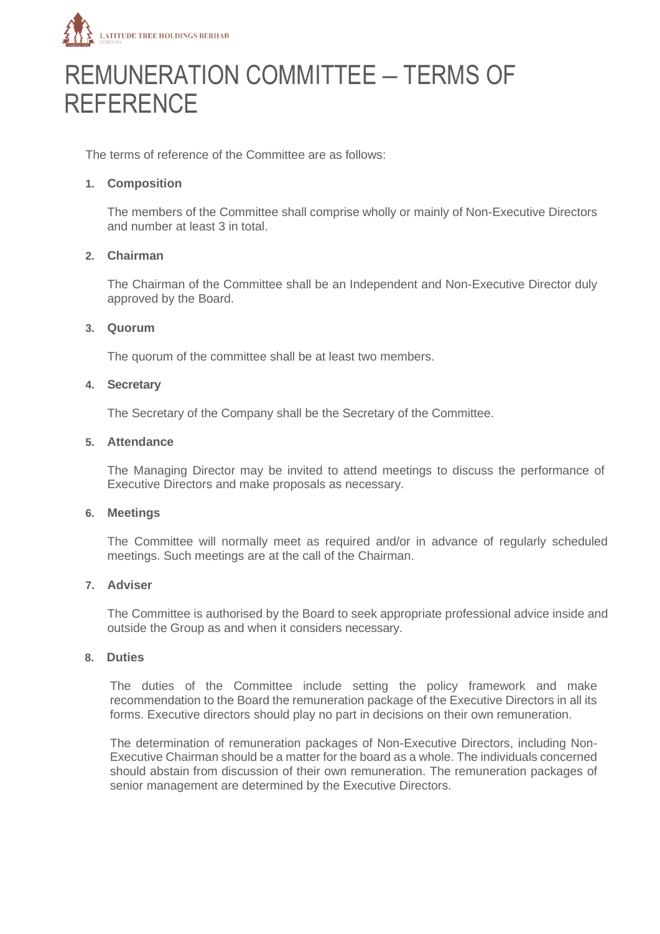

# REMUNERATION COMMITTEE – TERMS OF **REFERENCE**

The terms of reference of the Committee are as follows:

### **1. Composition**

The members of the Committee shall comprise wholly or mainly of Non-Executive Directors and number at least 3 in total.

#### **2. Chairman**

The Chairman of the Committee shall be an Independent and Non-Executive Director duly approved by the Board.

#### **3. Quorum**

The quorum of the committee shall be at least two members.

#### **4. Secretary**

The Secretary of the Company shall be the Secretary of the Committee.

#### **5. Attendance**

The Managing Director may be invited to attend meetings to discuss the performance of Executive Directors and make proposals as necessary.

#### **6. Meetings**

The Committee will normally meet as required and/or in advance of regularly scheduled meetings. Such meetings are at the call of the Chairman.

#### **7. Adviser**

The Committee is authorised by the Board to seek appropriate professional advice inside and outside the Group as and when it considers necessary.

#### **8. Duties**

The duties of the Committee include setting the policy framework and make recommendation to the Board the remuneration package of the Executive Directors in all its forms. Executive directors should play no part in decisions on their own remuneration.

The determination of remuneration packages of Non-Executive Directors, including Non-Executive Chairman should be a matter for the board as a whole. The individuals concerned should abstain from discussion of their own remuneration. The remuneration packages of senior management are determined by the Executive Directors.